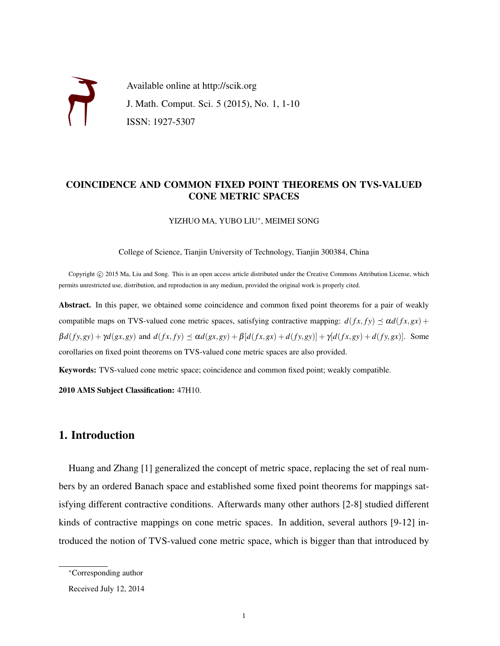

### COINCIDENCE AND COMMON FIXED POINT THEOREMS ON TVS-VALUED CONE METRIC SPACES

YIZHUO MA, YUBO LIU<sup>∗</sup> , MEIMEI SONG

College of Science, Tianjin University of Technology, Tianjin 300384, China

Copyright © 2015 Ma, Liu and Song. This is an open access article distributed under the Creative Commons Attribution License, which permits unrestricted use, distribution, and reproduction in any medium, provided the original work is properly cited.

Abstract. In this paper, we obtained some coincidence and common fixed point theorems for a pair of weakly compatible maps on TVS-valued cone metric spaces, satisfying contractive mapping:  $d(fx, fy) \preceq \alpha d(fx, gx) +$  $\beta d(fy,gy) + \gamma d(gx,gy)$  and  $d(fx, fy) \preceq \alpha d(gx, gy) + \beta [d(fx, gx) + d(fy, gy)] + \gamma [d(fx, gy) + d(fy, gx)].$  Some corollaries on fixed point theorems on TVS-valued cone metric spaces are also provided.

Keywords: TVS-valued cone metric space; coincidence and common fixed point; weakly compatible.

2010 AMS Subject Classification: 47H10.

## 1. Introduction

Huang and Zhang [1] generalized the concept of metric space, replacing the set of real numbers by an ordered Banach space and established some fixed point theorems for mappings satisfying different contractive conditions. Afterwards many other authors [2-8] studied different kinds of contractive mappings on cone metric spaces. In addition, several authors [9-12] introduced the notion of TVS-valued cone metric space, which is bigger than that introduced by

<sup>∗</sup>Corresponding author

Received July 12, 2014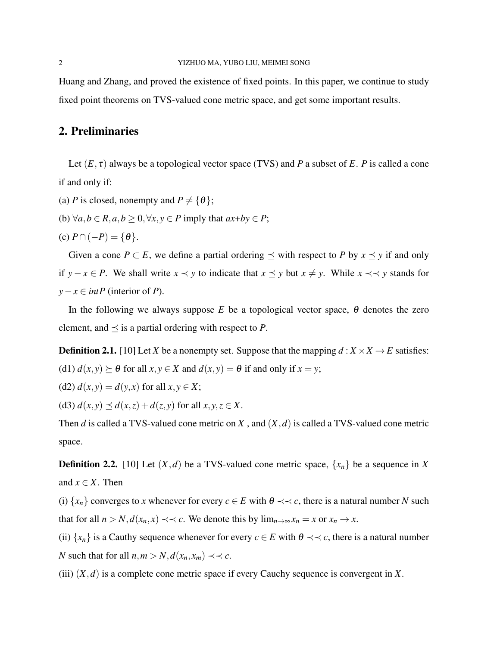Huang and Zhang, and proved the existence of fixed points. In this paper, we continue to study fixed point theorems on TVS-valued cone metric space, and get some important results.

# 2. Preliminaries

Let  $(E, \tau)$  always be a topological vector space (TVS) and *P* a subset of *E*. *P* is called a cone if and only if:

- (a) *P* is closed, nonempty and  $P \neq \{ \theta \};$
- (b)  $\forall a, b \in R, a, b > 0, \forall x, y \in P$  imply that  $ax+by \in P$ ;
- (c)  $P \cap (-P) = \{\theta\}.$

Given a cone  $P \subset E$ , we define a partial ordering  $\preceq$  with respect to P by  $x \preceq y$  if and only if *y* − *x* ∈ *P*. We shall write *x*  $\prec$  *y* to indicate that *x*  $\preceq$  *y* but *x*  $\neq$  *y*. While *x*  $\prec$   $\prec$  *y* stands for *y*−*x* ∈ *intP* (interior of *P*).

In the following we always suppose  $E$  be a topological vector space,  $\theta$  denotes the zero element, and  $\preceq$  is a partial ordering with respect to *P*.

**Definition 2.1.** [10] Let *X* be a nonempty set. Suppose that the mapping  $d : X \times X \rightarrow E$  satisfies: (d1)  $d(x, y) \succeq \theta$  for all  $x, y \in X$  and  $d(x, y) = \theta$  if and only if  $x = y$ ;

(d2) 
$$
d(x, y) = d(y, x)
$$
 for all  $x, y \in X$ ;

(d3)  $d(x, y) \leq d(x, z) + d(z, y)$  for all  $x, y, z \in X$ .

Then *d* is called a TVS-valued cone metric on *X* , and (*X*,*d*) is called a TVS-valued cone metric space.

**Definition 2.2.** [10] Let  $(X, d)$  be a TVS-valued cone metric space,  $\{x_n\}$  be a sequence in X and  $x \in X$ . Then

(i)  $\{x_n\}$  converges to *x* whenever for every  $c \in E$  with  $\theta \prec \prec c$ , there is a natural number *N* such that for all  $n > N$ ,  $d(x_n, x) \prec c$ . We denote this by  $\lim_{n \to \infty} x_n = x$  or  $x_n \to x$ .

(ii)  $\{x_n\}$  is a Cauthy sequence whenever for every  $c \in E$  with  $\theta \prec \prec c$ , there is a natural number *N* such that for all  $n, m > N$ ,  $d(x_n, x_m) \prec c$ .

(iii)  $(X, d)$  is a complete cone metric space if every Cauchy sequence is convergent in X.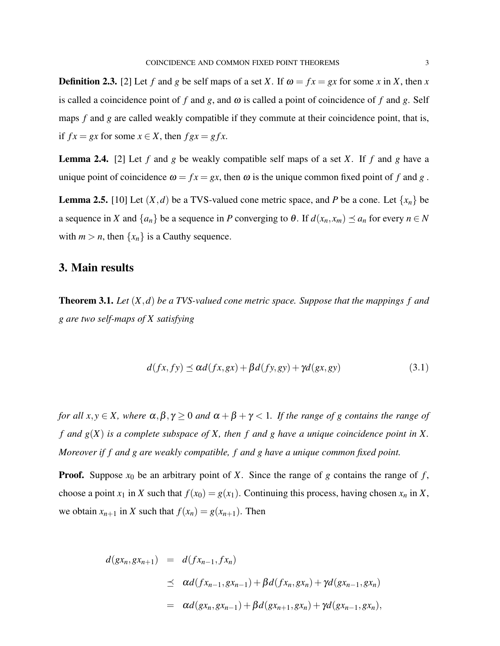**Definition 2.3.** [2] Let *f* and *g* be self maps of a set *X*. If  $\omega = fx = gx$  for some *x* in *X*, then *x* is called a coincidence point of f and  $g$ , and  $\omega$  is called a point of coincidence of f and  $g$ . Self maps *f* and *g* are called weakly compatible if they commute at their coincidence point, that is, if  $fx = gx$  for some  $x \in X$ , then  $fgx = gfx$ .

Lemma 2.4. [2] Let *f* and *g* be weakly compatible self maps of a set *X*. If *f* and *g* have a unique point of coincidence  $\omega = fx = gx$ , then  $\omega$  is the unique common fixed point of f and g.

**Lemma 2.5.** [10] Let  $(X, d)$  be a TVS-valued cone metric space, and *P* be a cone. Let  $\{x_n\}$  be a sequence in *X* and  $\{a_n\}$  be a sequence in *P* converging to  $\theta$ . If  $d(x_n, x_m) \preceq a_n$  for every  $n \in N$ with  $m > n$ , then  $\{x_n\}$  is a Cauthy sequence.

## 3. Main results

Theorem 3.1. *Let* (*X*,*d*) *be a TVS-valued cone metric space. Suppose that the mappings f and g are two self-maps of X satisfying*

$$
d(fx, fy) \le \alpha d(fx, gx) + \beta d(fy, gy) + \gamma d(gx, gy)
$$
\n(3.1)

*for all*  $x, y \in X$ *, where*  $\alpha, \beta, \gamma \ge 0$  *and*  $\alpha + \beta + \gamma < 1$ *. If the range of g contains the range of f and g*(*X*) *is a complete subspace of X, then f and g have a unique coincidence point in X. Moreover if f and g are weakly compatible, f and g have a unique common fixed point.*

**Proof.** Suppose  $x_0$  be an arbitrary point of X. Since the range of g contains the range of f, choose a point  $x_1$  in *X* such that  $f(x_0) = g(x_1)$ . Continuing this process, having chosen  $x_n$  in *X*, we obtain  $x_{n+1}$  in *X* such that  $f(x_n) = g(x_{n+1})$ . Then

$$
d(gx_n, gx_{n+1}) = d(fx_{n-1}, fx_n)
$$
  
\n
$$
\leq \alpha d(fx_{n-1}, gx_{n-1}) + \beta d(fx_n, gx_n) + \gamma d(gx_{n-1}, gx_n)
$$
  
\n
$$
= \alpha d(gx_n, gx_{n-1}) + \beta d(gx_{n+1}, gx_n) + \gamma d(gx_{n-1}, gx_n),
$$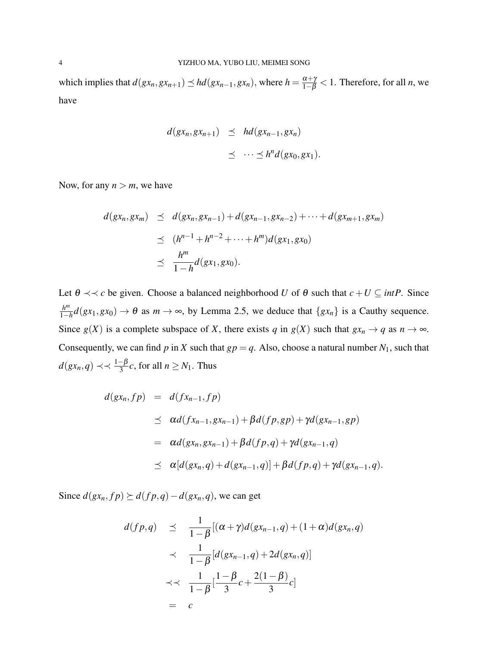which implies that  $d(gx_n, gx_{n+1}) \le hd(gx_{n-1}, gx_n)$ , where  $h = \frac{\alpha + \gamma}{1-\beta} < 1$ . Therefore, for all *n*, we have

$$
d(gx_n, gx_{n+1}) \preceq hd(gx_{n-1}, gx_n)
$$
  

$$
\preceq \cdots \preceq h^n d(gx_0, gx_1).
$$

Now, for any  $n > m$ , we have

$$
d(gx_n, gx_m) \leq d(gx_n, gx_{n-1}) + d(gx_{n-1}, gx_{n-2}) + \cdots + d(gx_{m+1}, gx_m)
$$
  
\n
$$
\leq (h^{n-1} + h^{n-2} + \cdots + h^m) d(gx_1, gx_0)
$$
  
\n
$$
\leq \frac{h^m}{1 - h} d(gx_1, gx_0).
$$

Let  $\theta \prec \prec c$  be given. Choose a balanced neighborhood *U* of  $\theta$  such that  $c + U \subseteq intP$ . Since *h m*  $\frac{h^m}{1-h}d(gx_1,gx_0) \to \theta$  as  $m \to \infty$ , by Lemma 2.5, we deduce that  $\{gx_n\}$  is a Cauthy sequence. Since  $g(X)$  is a complete subspace of *X*, there exists *q* in  $g(X)$  such that  $gx_n \to q$  as  $n \to \infty$ . Consequently, we can find *p* in *X* such that  $gp = q$ . Also, choose a natural number  $N_1$ , such that  $d(gx_n, q)$  ≺  $\prec \frac{1-\beta}{3}c$ , for all *n* ≥ *N*<sub>1</sub>. Thus

$$
d(gx_n, fp) = d(fx_{n-1}, fp)
$$
  
\n
$$
\leq \alpha d(fx_{n-1}, gx_{n-1}) + \beta d(fp, gp) + \gamma d(gx_{n-1}, gp)
$$
  
\n
$$
= \alpha d(gx_n, gx_{n-1}) + \beta d(fp, q) + \gamma d(gx_{n-1}, q)
$$
  
\n
$$
\leq \alpha [d(gx_n, q) + d(gx_{n-1}, q)] + \beta d(fp, q) + \gamma d(gx_{n-1}, q).
$$

Since  $d(gx_n, fp) ≥ d(fp,q) − d(gx_n,q)$ , we can get

$$
d(fp,q) \preceq \frac{1}{1-\beta}[(\alpha+\gamma)d(gx_{n-1},q)+(1+\alpha)d(gx_n,q)]
$$
  

$$
\prec \frac{1}{1-\beta}[d(gx_{n-1},q)+2d(gx_n,q)]
$$
  

$$
\prec \prec \frac{1}{1-\beta}[\frac{1-\beta}{3}c+\frac{2(1-\beta)}{3}c]
$$
  
= c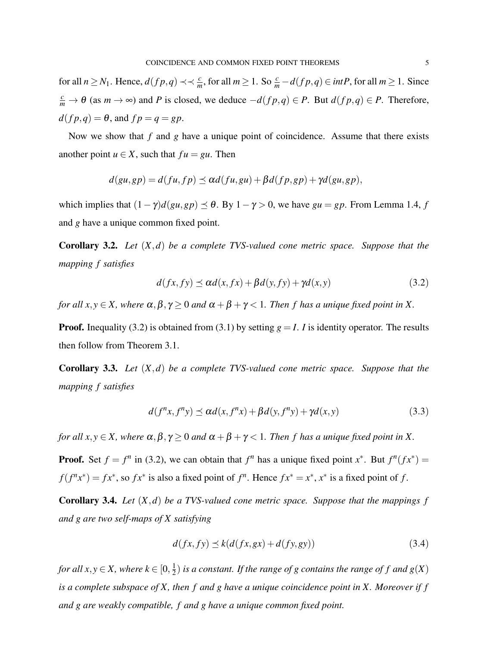for all  $n \ge N_1$ . Hence,  $d(fp,q) \prec \prec \frac{c}{m}$ , for all  $m \ge 1$ . So  $\frac{c}{m} - d(fp,q) \in intP$ , for all  $m \ge 1$ . Since *c*<sub>*m*</sub></sub> →  $\theta$  (as *m* → ∞) and *P* is closed, we deduce  $-d(fp,q) \in P$ . But  $d(fp,q) \in P$ . Therefore,  $d(f p, q) = \theta$ , and  $f p = q = gp$ .

Now we show that *f* and *g* have a unique point of coincidence. Assume that there exists another point  $u \in X$ , such that  $fu = gu$ . Then

$$
d(gu, gp) = d(fu, fp) \preceq \alpha d(fu, gu) + \beta d(fp, gp) + \gamma d(gu, gp),
$$

which implies that  $(1 - \gamma)d(gu, gp) \le \theta$ . By  $1 - \gamma > 0$ , we have  $gu = gp$ . From Lemma 1.4, *f* and *g* have a unique common fixed point.

Corollary 3.2. *Let* (*X*,*d*) *be a complete TVS-valued cone metric space. Suppose that the mapping f satisfies*

$$
d(fx, fy) \le \alpha d(x, fx) + \beta d(y, fy) + \gamma d(x, y) \tag{3.2}
$$

*for all x*, *y*  $\in$  *X*, *where*  $\alpha$ ,  $\beta$ ,  $\gamma$   $\geq$  0 *and*  $\alpha$  +  $\beta$  +  $\gamma$  < 1*. Then f has a unique fixed point in X*.

**Proof.** Inequality (3.2) is obtained from (3.1) by setting  $g = I$ . *I* is identity operator. The results then follow from Theorem 3.1.

Corollary 3.3. *Let* (*X*,*d*) *be a complete TVS-valued cone metric space. Suppose that the mapping f satisfies*

$$
d(f^{n}x, f^{n}y) \le \alpha d(x, f^{n}x) + \beta d(y, f^{n}y) + \gamma d(x, y)
$$
\n(3.3)

*for all x*, *y*  $\in$  *X*, *where*  $\alpha$ ,  $\beta$ ,  $\gamma$   $\geq$  0 *and*  $\alpha$  +  $\beta$  +  $\gamma$  < 1*. Then f has a unique fixed point in X.* 

**Proof.** Set  $f = f^n$  in (3.2), we can obtain that  $f^n$  has a unique fixed point  $x^*$ . But  $f^n(fx^*) = f^n(fx^*)$  $f(f^n x^*) = fx^*$ , so  $fx^*$  is also a fixed point of  $f^n$ . Hence  $fx^* = x^*$ ,  $x^*$  is a fixed point of  $f$ .

Corollary 3.4. *Let* (*X*,*d*) *be a TVS-valued cone metric space. Suppose that the mappings f and g are two self-maps of X satisfying*

$$
d(fx, fy) \le k(d(fx, gx) + d(fy, gy))
$$
\n(3.4)

*for all x*, *y*  $\in$  *X*, where  $k \in [0, \frac{1}{2})$  $\frac{1}{2}$ ) *is a constant. If the range of g contains the range of f and g*(*X*) *is a complete subspace of X, then f and g have a unique coincidence point in X. Moreover if f and g are weakly compatible, f and g have a unique common fixed point.*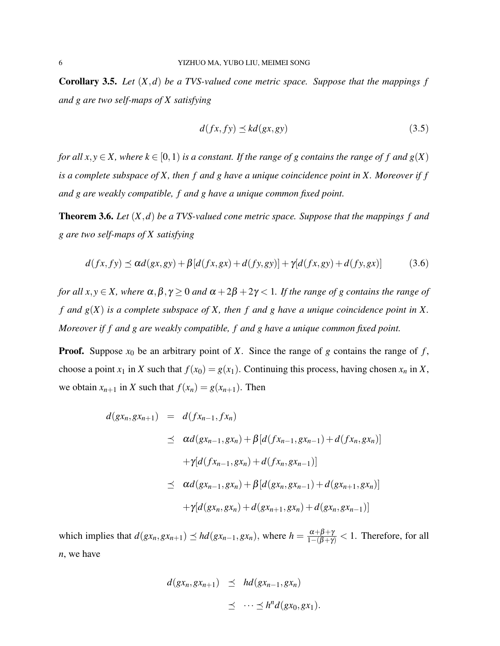Corollary 3.5. *Let* (*X*,*d*) *be a TVS-valued cone metric space. Suppose that the mappings f and g are two self-maps of X satisfying*

$$
d(fx, fy) \preceq kd(gx, gy) \tag{3.5}
$$

*for all*  $x, y \in X$ , where  $k \in [0, 1)$  *is a constant. If the range of g contains the range of f and g(X) is a complete subspace of X, then f and g have a unique coincidence point in X. Moreover if f and g are weakly compatible, f and g have a unique common fixed point.*

Theorem 3.6. *Let* (*X*,*d*) *be a TVS-valued cone metric space. Suppose that the mappings f and g are two self-maps of X satisfying*

$$
d(fx, fy) \le \alpha d(gx, gy) + \beta [d(fx, gx) + d(fy, gy)] + \gamma [d(fx, gy) + d(fy, gx)] \tag{3.6}
$$

*for all x*, *y*  $\in$  *X*, *where*  $\alpha$ ,  $\beta$ ,  $\gamma$   $\geq$  0 *and*  $\alpha$  + 2 $\beta$  + 2 $\gamma$  < 1*. If the range of g contains the range of f and g*(*X*) *is a complete subspace of X, then f and g have a unique coincidence point in X. Moreover if f and g are weakly compatible, f and g have a unique common fixed point.*

**Proof.** Suppose  $x_0$  be an arbitrary point of *X*. Since the range of *g* contains the range of *f*, choose a point  $x_1$  in *X* such that  $f(x_0) = g(x_1)$ . Continuing this process, having chosen  $x_n$  in *X*, we obtain  $x_{n+1}$  in *X* such that  $f(x_n) = g(x_{n+1})$ . Then

$$
d(gx_n, gx_{n+1}) = d(fx_{n-1}, fx_n)
$$
  
\n
$$
\leq \alpha d(gx_{n-1}, gx_n) + \beta [d(fx_{n-1}, gx_{n-1}) + d(fx_n, gx_n)]
$$
  
\n
$$
+ \gamma [d(fx_{n-1}, gx_n) + d(fx_n, gx_{n-1})]
$$
  
\n
$$
\leq \alpha d(gx_{n-1}, gx_n) + \beta [d(gx_n, gx_{n-1}) + d(gx_{n+1}, gx_n)]
$$
  
\n
$$
+ \gamma [d(gx_n, gx_n) + d(gx_{n+1}, gx_n) + d(gx_n, gx_{n-1})]
$$

which implies that  $d(gx_n, gx_{n+1}) \preceq hd(gx_{n-1}, gx_n)$ , where  $h = \frac{\alpha + \beta + \gamma}{1 - (\beta + \gamma)} < 1$ . Therefore, for all *n*, we have

$$
d(gx_n, gx_{n+1}) \preceq hd(gx_{n-1}, gx_n)
$$
  

$$
\preceq \cdots \preceq h^n d(gx_0, gx_1).
$$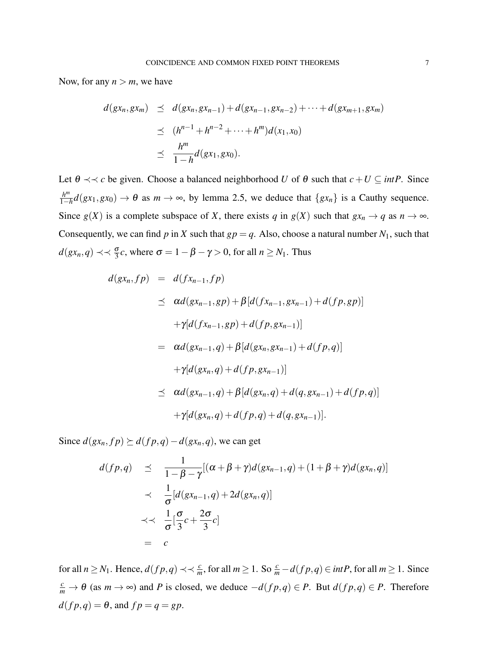Now, for any  $n > m$ , we have

$$
d(gx_n, gx_m) \leq d(gx_n, gx_{n-1}) + d(gx_{n-1}, gx_{n-2}) + \cdots + d(gx_{m+1}, gx_m)
$$
  
\n
$$
\leq (h^{n-1} + h^{n-2} + \cdots + h^m) d(x_1, x_0)
$$
  
\n
$$
\leq \frac{h^m}{1 - h} d(gx_1, gx_0).
$$

Let  $\theta \prec \prec c$  be given. Choose a balanced neighborhood *U* of  $\theta$  such that  $c + U \subseteq intP$ . Since *h m*  $\frac{h^m}{1-h}d(gx_1,gx_0) \to \theta$  as  $m \to \infty$ , by lemma 2.5, we deduce that  $\{gx_n\}$  is a Cauthy sequence. Since  $g(X)$  is a complete subspace of *X*, there exists *q* in  $g(X)$  such that  $gx_n \to q$  as  $n \to \infty$ . Consequently, we can find *p* in *X* such that  $gp = q$ . Also, choose a natural number  $N_1$ , such that  $d(gx_n, q) \prec \prec \frac{\sigma}{3}c$ , where  $\sigma = 1 - \beta - \gamma > 0$ , for all  $n \ge N_1$ . Thus

$$
d(gx_n, fp) = d(fx_{n-1}, fp)
$$
  
\n
$$
\leq \alpha d(gx_{n-1}, gp) + \beta [d(fx_{n-1}, gx_{n-1}) + d(fp, gp)]
$$
  
\n
$$
+ \gamma [d(fx_{n-1}, gp) + d(fp, gx_{n-1})]
$$
  
\n
$$
= \alpha d(gx_{n-1}, q) + \beta [d(gx_n, gx_{n-1}) + d(fp, q)]
$$
  
\n
$$
+ \gamma [d(gx_n, q) + d(fp, gx_{n-1})]
$$
  
\n
$$
\leq \alpha d(gx_{n-1}, q) + \beta [d(gx_n, q) + d(q, gx_{n-1}) + d(fp, q)]
$$
  
\n
$$
+ \gamma [d(gx_n, q) + d(fp, q) + d(q, gx_{n-1})].
$$

Since  $d(gx_n, fp) \geq d(fp, q) - d(gx_n, q)$ , we can get

$$
d(fp,q) \leq \frac{1}{1-\beta-\gamma}[(\alpha+\beta+\gamma)d(gx_{n-1},q)+(1+\beta+\gamma)d(gx_n,q)]
$$
  

$$
\prec \frac{1}{\sigma}[d(gx_{n-1},q)+2d(gx_n,q)]
$$
  

$$
\prec \prec \frac{1}{\sigma}[\frac{\sigma}{3}c+\frac{2\sigma}{3}c]
$$
  

$$
= c
$$

for all  $n \ge N_1$ . Hence,  $d(fp,q) \prec \prec \frac{c}{m}$ , for all  $m \ge 1$ . So  $\frac{c}{m} - d(fp,q) \in intP$ , for all  $m \ge 1$ . Since *c*<sub>*m*</sub></sub> →  $\theta$  (as *m* → ∞) and *P* is closed, we deduce  $-d(fp,q) \in P$ . But  $d(fp,q) \in P$ . Therefore  $d(f p, q) = \theta$ , and  $f p = q = gp$ .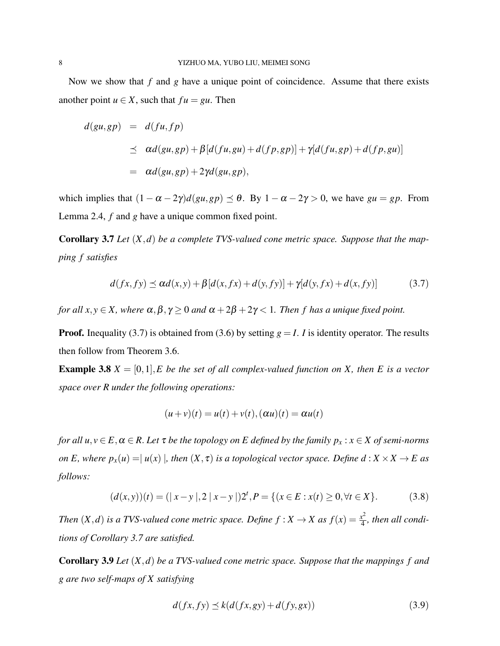Now we show that *f* and *g* have a unique point of coincidence. Assume that there exists another point  $u \in X$ , such that  $fu = gu$ . Then

$$
d(gu, gp) = d(fu, fp)
$$
  
\n
$$
\leq \alpha d(gu, gp) + \beta[d(fu, gu) + d(fp, gp)] + \gamma[d(fu, gp) + d(fp, gu)]
$$
  
\n
$$
= \alpha d(gu, gp) + 2\gamma d(gu, gp),
$$

which implies that  $(1 - \alpha - 2\gamma)d(gu, gp) \le \theta$ . By  $1 - \alpha - 2\gamma > 0$ , we have  $gu = gp$ . From Lemma 2.4, *f* and *g* have a unique common fixed point.

Corollary 3.7 *Let* (*X*,*d*) *be a complete TVS-valued cone metric space. Suppose that the mapping f satisfies*

$$
d(fx, fy) \le \alpha d(x, y) + \beta [d(x, fx) + d(y, fy)] + \gamma [d(y, fx) + d(x, fy)] \tag{3.7}
$$

*for all x, y*  $\in$  *X, where*  $\alpha$ *,*  $\beta$ *,*  $\gamma$   $\geq$  0 *and*  $\alpha$  + 2 $\beta$  + 2 $\gamma$  < 1*. Then f has a unique fixed point.* 

**Proof.** Inequality (3.7) is obtained from (3.6) by setting  $g = I$ . *I* is identity operator. The results then follow from Theorem 3.6.

**Example 3.8**  $X = [0,1], E$  be the set of all complex-valued function on X, then E is a vector *space over R under the following operations:*

$$
(u+v)(t) = u(t) + v(t), (\alpha u)(t) = \alpha u(t)
$$

*for all*  $u, v \in E, \alpha \in R$ . Let  $\tau$  *be the topology on E defined by the family*  $p_x : x \in X$  *of semi-norms on E, where*  $p_x(u) = |u(x)|$ *, then*  $(X, \tau)$  *is a topological vector space. Define*  $d : X \times X \to E$  *as follows:*

$$
(d(x,y))(t) = (|x-y|, 2|x-y|)2^t, P = \{(x \in E : x(t) \ge 0, \forall t \in X\}. \tag{3.8}
$$

*Then*  $(X, d)$  *is a TVS-valued cone metric space. Define*  $f : X \to X$  *as*  $f(x) = \frac{x^2}{4}$  $rac{x^2}{4}$ , then all condi*tions of Corollary 3.7 are satisfied.*

Corollary 3.9 *Let* (*X*,*d*) *be a TVS-valued cone metric space. Suppose that the mappings f and g are two self-maps of X satisfying*

$$
d(fx, fy) \preceq k(d(fx, gy) + d(fy, gx))
$$
\n(3.9)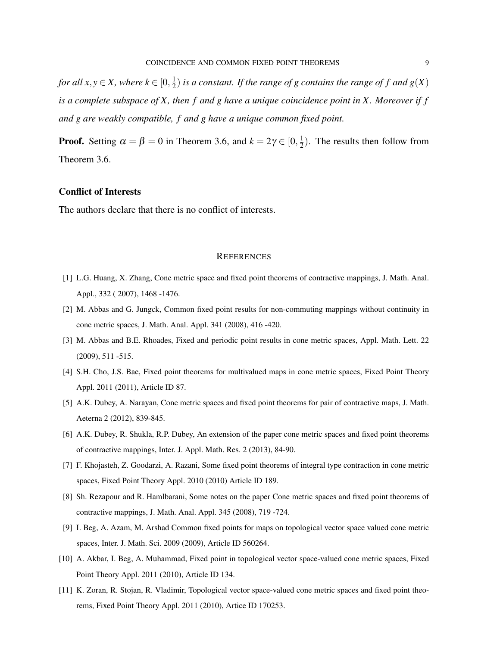*for all x*, *y*  $\in$  *X*, where  $k \in [0, \frac{1}{2}]$  $\frac{1}{2}$ ) *is a constant. If the range of g contains the range of f and g*(*X*) *is a complete subspace of X, then f and g have a unique coincidence point in X. Moreover if f and g are weakly compatible, f and g have a unique common fixed point.*

**Proof.** Setting  $\alpha = \beta = 0$  in Theorem 3.6, and  $k = 2\gamma \in [0, \frac{1}{2}]$  $\frac{1}{2}$ ). The results then follow from Theorem 3.6.

#### Conflict of Interests

The authors declare that there is no conflict of interests.

#### **REFERENCES**

- [1] L.G. Huang, X. Zhang, Cone metric space and fixed point theorems of contractive mappings, J. Math. Anal. Appl., 332 ( 2007), 1468 -1476.
- [2] M. Abbas and G. Jungck, Common fixed point results for non-commuting mappings without continuity in cone metric spaces, J. Math. Anal. Appl. 341 (2008), 416 -420.
- [3] M. Abbas and B.E. Rhoades, Fixed and periodic point results in cone metric spaces, Appl. Math. Lett. 22 (2009), 511 -515.
- [4] S.H. Cho, J.S. Bae, Fixed point theorems for multivalued maps in cone metric spaces, Fixed Point Theory Appl. 2011 (2011), Article ID 87.
- [5] A.K. Dubey, A. Narayan, Cone metric spaces and fixed point theorems for pair of contractive maps, J. Math. Aeterna 2 (2012), 839-845.
- [6] A.K. Dubey, R. Shukla, R.P. Dubey, An extension of the paper cone metric spaces and fixed point theorems of contractive mappings, Inter. J. Appl. Math. Res. 2 (2013), 84-90.
- [7] F. Khojasteh, Z. Goodarzi, A. Razani, Some fixed point theorems of integral type contraction in cone metric spaces, Fixed Point Theory Appl. 2010 (2010) Article ID 189.
- [8] Sh. Rezapour and R. Hamlbarani, Some notes on the paper Cone metric spaces and fixed point theorems of contractive mappings, J. Math. Anal. Appl. 345 (2008), 719 -724.
- [9] I. Beg, A. Azam, M. Arshad Common fixed points for maps on topological vector space valued cone metric spaces, Inter. J. Math. Sci. 2009 (2009), Article ID 560264.
- [10] A. Akbar, I. Beg, A. Muhammad, Fixed point in topological vector space-valued cone metric spaces, Fixed Point Theory Appl. 2011 (2010), Article ID 134.
- [11] K. Zoran, R. Stojan, R. Vladimir, Topological vector space-valued cone metric spaces and fixed point theorems, Fixed Point Theory Appl. 2011 (2010), Artice ID 170253.